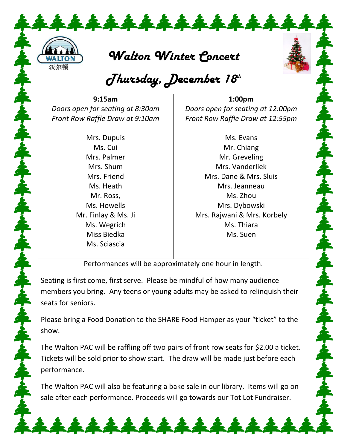

*Walton Winter Concert* 

## *Thursday, December 18th*

**9:15am** *Doors open for seating at 8:30am Front Row Raffle Draw at 9:10am*

> Mrs. Dupuis Ms. Cui Mrs. Palmer Mrs. Shum Mrs. Friend Ms. Heath Mr. Ross, Ms. Howells Mr. Finlay & Ms. Ji Ms. Wegrich Miss Biedka Ms. Sciascia

**1:00pm** *Doors open for seating at 12:00pm Front Row Raffle Draw at 12:55pm*

> Ms. Evans Mr. Chiang Mr. Greveling Mrs. Vanderliek Mrs. Dane & Mrs. Sluis Mrs. Jeanneau Ms. Zhou Mrs. Dybowski Mrs. Rajwani & Mrs. Korbely Ms. Thiara Ms. Suen

Performances will be approximately one hour in length.

Seating is first come, first serve. Please be mindful of how many audience members you bring. Any teens or young adults may be asked to relinquish their seats for seniors.

Please bring a Food Donation to the SHARE Food Hamper as your "ticket" to the show.

The Walton PAC will be raffling off two pairs of front row seats for \$2.00 a ticket. Tickets will be sold prior to show start. The draw will be made just before each performance.

The Walton PAC will also be featuring a bake sale in our library. Items will go on sale after each performance. Proceeds will go towards our Tot Lot Fundraiser.

\*\*\*\*\*\*\*\*\*\*\*\*\*